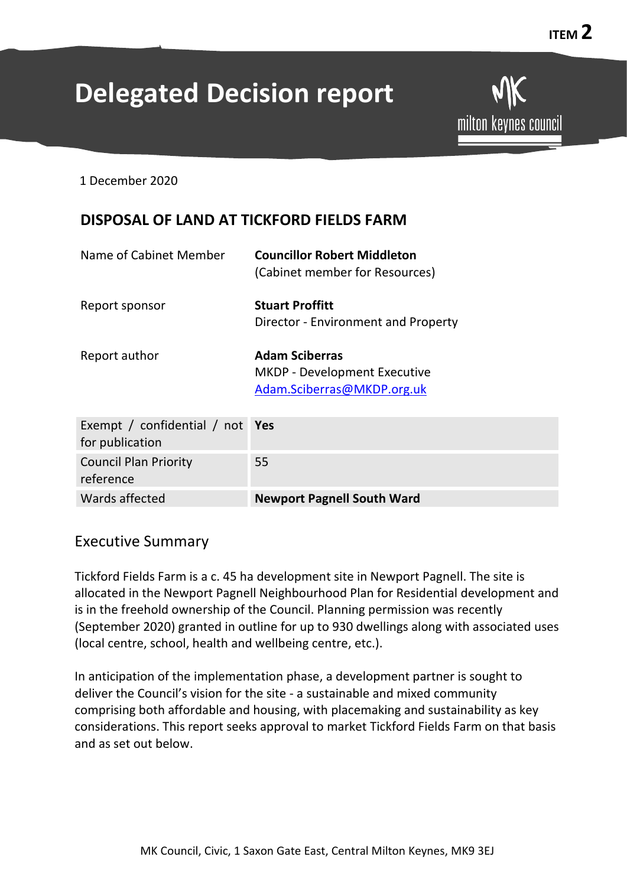# **Delegated Decision report**

**ITEM 2**

milton keynes council

1 December 2020

# **DISPOSAL OF LAND AT TICKFORD FIELDS FARM**

Wards affected **Newport Pagnell South Ward**

| Name of Cabinet Member                         | <b>Councillor Robert Middleton</b><br>(Cabinet member for Resources)                       |
|------------------------------------------------|--------------------------------------------------------------------------------------------|
| Report sponsor                                 | <b>Stuart Proffitt</b><br>Director - Environment and Property                              |
| Report author                                  | <b>Adam Sciberras</b><br><b>MKDP</b> - Development Executive<br>Adam.Sciberras@MKDP.org.uk |
| Exempt / confidential / not<br>for publication | <b>Yes</b>                                                                                 |
| <b>Council Plan Priority</b><br>reference      | 55                                                                                         |

### Executive Summary

Tickford Fields Farm is a c. 45 ha development site in Newport Pagnell. The site is allocated in the Newport Pagnell Neighbourhood Plan for Residential development and is in the freehold ownership of the Council. Planning permission was recently (September 2020) granted in outline for up to 930 dwellings along with associated uses (local centre, school, health and wellbeing centre, etc.).

In anticipation of the implementation phase, a development partner is sought to deliver the Council's vision for the site - a sustainable and mixed community comprising both affordable and housing, with placemaking and sustainability as key considerations. This report seeks approval to market Tickford Fields Farm on that basis and as set out below.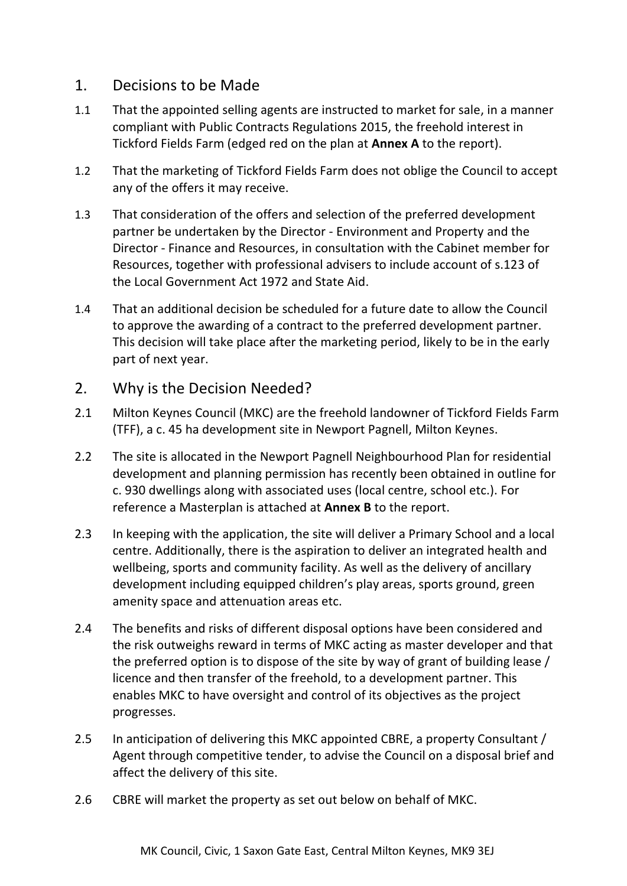### 1. Decisions to be Made

- 1.1 That the appointed selling agents are instructed to market for sale, in a manner compliant with Public Contracts Regulations 2015, the freehold interest in Tickford Fields Farm (edged red on the plan at **Annex A** to the report).
- 1.2 That the marketing of Tickford Fields Farm does not oblige the Council to accept any of the offers it may receive.
- 1.3 That consideration of the offers and selection of the preferred development partner be undertaken by the Director - Environment and Property and the Director - Finance and Resources, in consultation with the Cabinet member for Resources, together with professional advisers to include account of s.123 of the Local Government Act 1972 and State Aid.
- 1.4 That an additional decision be scheduled for a future date to allow the Council to approve the awarding of a contract to the preferred development partner. This decision will take place after the marketing period, likely to be in the early part of next year.

#### 2. Why is the Decision Needed?

- 2.1 Milton Keynes Council (MKC) are the freehold landowner of Tickford Fields Farm (TFF), a c. 45 ha development site in Newport Pagnell, Milton Keynes.
- 2.2 The site is allocated in the Newport Pagnell Neighbourhood Plan for residential development and planning permission has recently been obtained in outline for c. 930 dwellings along with associated uses (local centre, school etc.). For reference a Masterplan is attached at **Annex B** to the report.
- 2.3 In keeping with the application, the site will deliver a Primary School and a local centre. Additionally, there is the aspiration to deliver an integrated health and wellbeing, sports and community facility. As well as the delivery of ancillary development including equipped children's play areas, sports ground, green amenity space and attenuation areas etc.
- 2.4 The benefits and risks of different disposal options have been considered and the risk outweighs reward in terms of MKC acting as master developer and that the preferred option is to dispose of the site by way of grant of building lease / licence and then transfer of the freehold, to a development partner. This enables MKC to have oversight and control of its objectives as the project progresses.
- 2.5 In anticipation of delivering this MKC appointed CBRE, a property Consultant / Agent through competitive tender, to advise the Council on a disposal brief and affect the delivery of this site.
- 2.6 CBRE will market the property as set out below on behalf of MKC.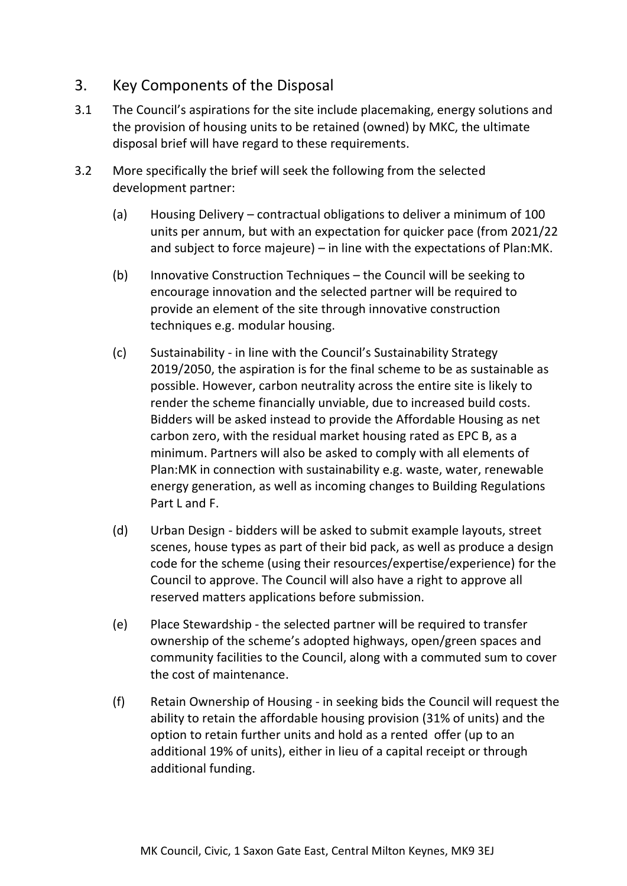## 3. Key Components of the Disposal

- 3.1 The Council's aspirations for the site include placemaking, energy solutions and the provision of housing units to be retained (owned) by MKC, the ultimate disposal brief will have regard to these requirements.
- 3.2 More specifically the brief will seek the following from the selected development partner:
	- (a) Housing Delivery contractual obligations to deliver a minimum of 100 units per annum, but with an expectation for quicker pace (from 2021/22 and subject to force majeure) – in line with the expectations of Plan:MK.
	- (b) Innovative Construction Techniques the Council will be seeking to encourage innovation and the selected partner will be required to provide an element of the site through innovative construction techniques e.g. modular housing.
	- (c) Sustainability in line with the Council's Sustainability Strategy 2019/2050, the aspiration is for the final scheme to be as sustainable as possible. However, carbon neutrality across the entire site is likely to render the scheme financially unviable, due to increased build costs. Bidders will be asked instead to provide the Affordable Housing as net carbon zero, with the residual market housing rated as EPC B, as a minimum. Partners will also be asked to comply with all elements of Plan:MK in connection with sustainability e.g. waste, water, renewable energy generation, as well as incoming changes to Building Regulations Part L and F.
	- (d) Urban Design bidders will be asked to submit example layouts, street scenes, house types as part of their bid pack, as well as produce a design code for the scheme (using their resources/expertise/experience) for the Council to approve. The Council will also have a right to approve all reserved matters applications before submission.
	- (e) Place Stewardship the selected partner will be required to transfer ownership of the scheme's adopted highways, open/green spaces and community facilities to the Council, along with a commuted sum to cover the cost of maintenance.
	- (f) Retain Ownership of Housing in seeking bids the Council will request the ability to retain the affordable housing provision (31% of units) and the option to retain further units and hold as a rented offer (up to an additional 19% of units), either in lieu of a capital receipt or through additional funding.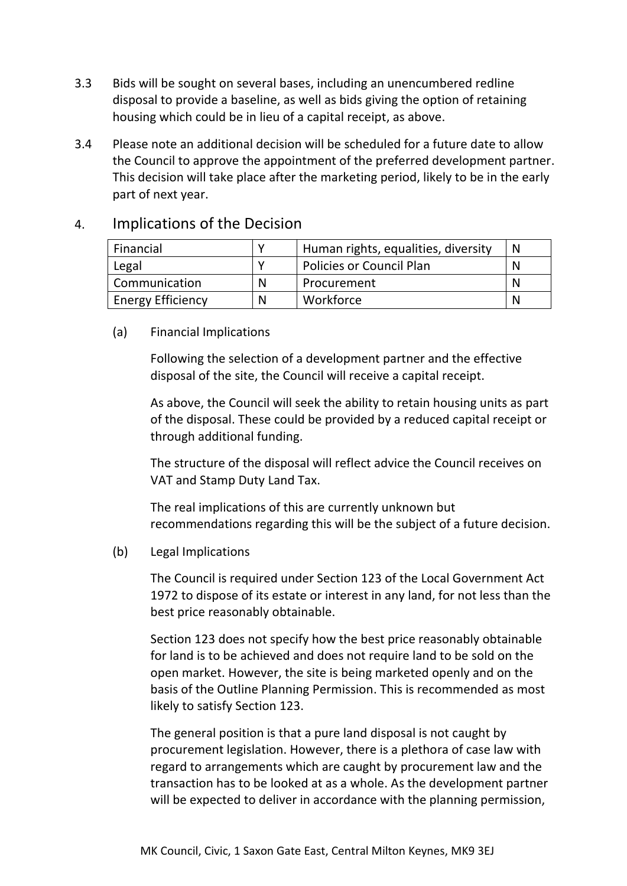- 3.3 Bids will be sought on several bases, including an unencumbered redline disposal to provide a baseline, as well as bids giving the option of retaining housing which could be in lieu of a capital receipt, as above.
- 3.4 Please note an additional decision will be scheduled for a future date to allow the Council to approve the appointment of the preferred development partner. This decision will take place after the marketing period, likely to be in the early part of next year.

#### 4. Implications of the Decision

| Financial                |   | Human rights, equalities, diversity |  |
|--------------------------|---|-------------------------------------|--|
| Legal                    |   | <b>Policies or Council Plan</b>     |  |
| Communication            | N | Procurement                         |  |
| <b>Energy Efficiency</b> | N | Workforce                           |  |

(a) Financial Implications

Following the selection of a development partner and the effective disposal of the site, the Council will receive a capital receipt.

As above, the Council will seek the ability to retain housing units as part of the disposal. These could be provided by a reduced capital receipt or through additional funding.

The structure of the disposal will reflect advice the Council receives on VAT and Stamp Duty Land Tax.

The real implications of this are currently unknown but recommendations regarding this will be the subject of a future decision.

#### (b) Legal Implications

The Council is required under Section 123 of the Local Government Act 1972 to dispose of its estate or interest in any land, for not less than the best price reasonably obtainable.

Section 123 does not specify how the best price reasonably obtainable for land is to be achieved and does not require land to be sold on the open market. However, the site is being marketed openly and on the basis of the Outline Planning Permission. This is recommended as most likely to satisfy Section 123.

The general position is that a pure land disposal is not caught by procurement legislation. However, there is a plethora of case law with regard to arrangements which are caught by procurement law and the transaction has to be looked at as a whole. As the development partner will be expected to deliver in accordance with the planning permission,